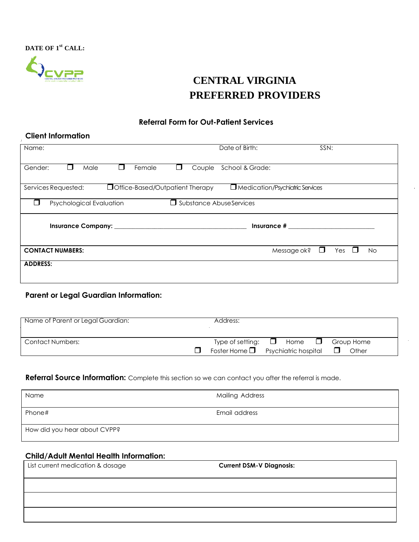**DATE OF 1 st CALL:**



# **CENTRAL VIRGINIA PREFERRED PROVIDERS**

### **Referral Form for Out-Patient Services**

### **Client Information**

| Name:                                                                                                | Date of Birth:<br>SSN:                          |  |  |  |  |
|------------------------------------------------------------------------------------------------------|-------------------------------------------------|--|--|--|--|
| Female<br>Gender:<br>Male<br>Couple<br>$\mathbf{I}$                                                  | School & Grade:                                 |  |  |  |  |
| Office-Based/Outpatient Therapy<br>Services Requested:                                               | Medication/Psychiatric Services                 |  |  |  |  |
| Psychological Evaluation                                                                             | <b>Substance AbuseServices</b>                  |  |  |  |  |
| Insurance # 2009 10:00 10:00 10:00 10:00 10:00 10:00 10:00 10:00 10:00 10:00 10:00 10:00 10:00 10:00 |                                                 |  |  |  |  |
| <b>CONTACT NUMBERS:</b>                                                                              | Message ok?<br>Yes<br><b>No</b><br>$\mathbf{L}$ |  |  |  |  |
| <b>ADDRESS:</b>                                                                                      |                                                 |  |  |  |  |

# **Parent or Legal Guardian Information:**

| Name of Parent or Legal Guardian: | Address:                                                           |      |        |                     |
|-----------------------------------|--------------------------------------------------------------------|------|--------|---------------------|
| Contact Numbers:                  | Type of setting: $\Box$<br>Foster Home $\Box$ Psychiatric hospital | Home | $\Box$ | Group Home<br>Other |

## Referral Source Information: Complete this section so we can contact you after the referral is made.

| Name                         | <b>Mailing Address</b> |
|------------------------------|------------------------|
| Phone#                       | Email address          |
| How did you hear about CVPP? |                        |

## **Child/Adult Mental Health Information:**

| List current medication & dosage | <b>Current DSM-V Diagnosis:</b> |
|----------------------------------|---------------------------------|
|                                  |                                 |
|                                  |                                 |
|                                  |                                 |